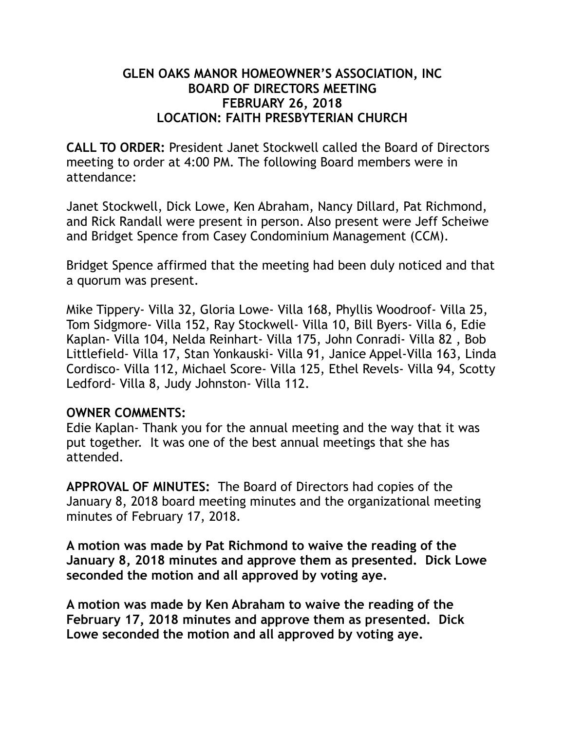### **GLEN OAKS MANOR HOMEOWNER'S ASSOCIATION, INC BOARD OF DIRECTORS MEETING FEBRUARY 26, 2018 LOCATION: FAITH PRESBYTERIAN CHURCH**

**CALL TO ORDER:** President Janet Stockwell called the Board of Directors meeting to order at 4:00 PM. The following Board members were in attendance:

Janet Stockwell, Dick Lowe, Ken Abraham, Nancy Dillard, Pat Richmond, and Rick Randall were present in person. Also present were Jeff Scheiwe and Bridget Spence from Casey Condominium Management (CCM).

Bridget Spence affirmed that the meeting had been duly noticed and that a quorum was present.

Mike Tippery- Villa 32, Gloria Lowe- Villa 168, Phyllis Woodroof- Villa 25, Tom Sidgmore- Villa 152, Ray Stockwell- Villa 10, Bill Byers- Villa 6, Edie Kaplan- Villa 104, Nelda Reinhart- Villa 175, John Conradi- Villa 82 , Bob Littlefield- Villa 17, Stan Yonkauski- Villa 91, Janice Appel-Villa 163, Linda Cordisco- Villa 112, Michael Score- Villa 125, Ethel Revels- Villa 94, Scotty Ledford- Villa 8, Judy Johnston- Villa 112.

#### **OWNER COMMENTS:**

Edie Kaplan- Thank you for the annual meeting and the way that it was put together. It was one of the best annual meetings that she has attended.

**APPROVAL OF MINUTES:** The Board of Directors had copies of the January 8, 2018 board meeting minutes and the organizational meeting minutes of February 17, 2018.

**A motion was made by Pat Richmond to waive the reading of the January 8, 2018 minutes and approve them as presented. Dick Lowe seconded the motion and all approved by voting aye.** 

**A motion was made by Ken Abraham to waive the reading of the February 17, 2018 minutes and approve them as presented. Dick Lowe seconded the motion and all approved by voting aye.**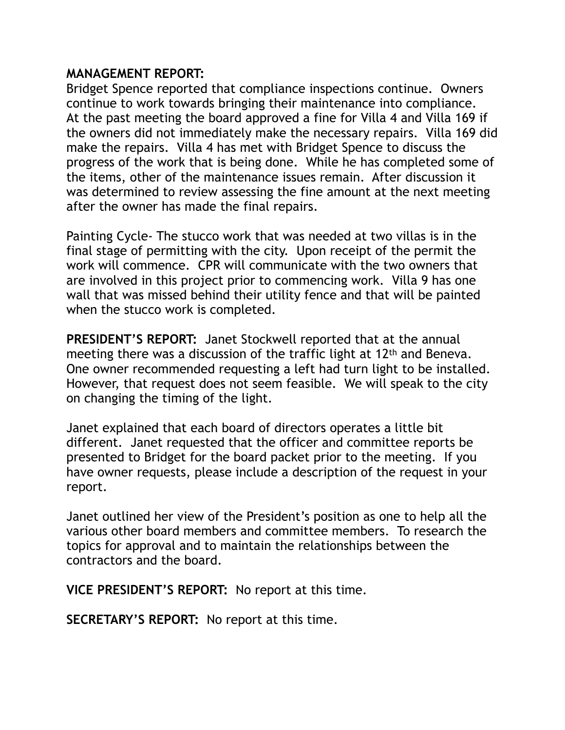### **MANAGEMENT REPORT:**

Bridget Spence reported that compliance inspections continue. Owners continue to work towards bringing their maintenance into compliance. At the past meeting the board approved a fine for Villa 4 and Villa 169 if the owners did not immediately make the necessary repairs. Villa 169 did make the repairs. Villa 4 has met with Bridget Spence to discuss the progress of the work that is being done. While he has completed some of the items, other of the maintenance issues remain. After discussion it was determined to review assessing the fine amount at the next meeting after the owner has made the final repairs.

Painting Cycle- The stucco work that was needed at two villas is in the final stage of permitting with the city. Upon receipt of the permit the work will commence. CPR will communicate with the two owners that are involved in this project prior to commencing work. Villa 9 has one wall that was missed behind their utility fence and that will be painted when the stucco work is completed.

**PRESIDENT'S REPORT:** Janet Stockwell reported that at the annual meeting there was a discussion of the traffic light at 12th and Beneva. One owner recommended requesting a left had turn light to be installed. However, that request does not seem feasible. We will speak to the city on changing the timing of the light.

Janet explained that each board of directors operates a little bit different. Janet requested that the officer and committee reports be presented to Bridget for the board packet prior to the meeting. If you have owner requests, please include a description of the request in your report.

Janet outlined her view of the President's position as one to help all the various other board members and committee members. To research the topics for approval and to maintain the relationships between the contractors and the board.

**VICE PRESIDENT'S REPORT:** No report at this time.

**SECRETARY'S REPORT:** No report at this time.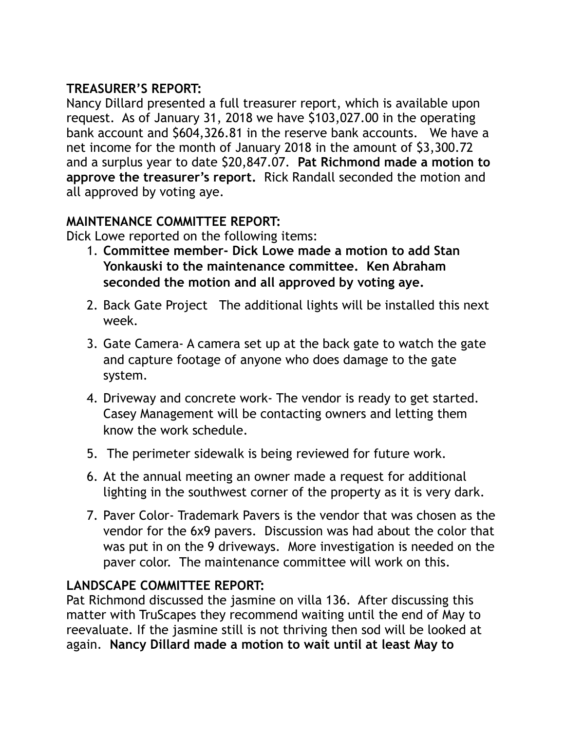# **TREASURER'S REPORT:**

Nancy Dillard presented a full treasurer report, which is available upon request. As of January 31, 2018 we have \$103,027.00 in the operating bank account and \$604,326.81 in the reserve bank accounts. We have a net income for the month of January 2018 in the amount of \$3,300.72 and a surplus year to date \$20,847.07. **Pat Richmond made a motion to approve the treasurer's report.** Rick Randall seconded the motion and all approved by voting aye.

# **MAINTENANCE COMMITTEE REPORT:**

Dick Lowe reported on the following items:

- 1. **Committee member- Dick Lowe made a motion to add Stan Yonkauski to the maintenance committee. Ken Abraham seconded the motion and all approved by voting aye.**
- 2. Back Gate Project The additional lights will be installed this next week.
- 3. Gate Camera- A camera set up at the back gate to watch the gate and capture footage of anyone who does damage to the gate system.
- 4. Driveway and concrete work- The vendor is ready to get started. Casey Management will be contacting owners and letting them know the work schedule.
- 5. The perimeter sidewalk is being reviewed for future work.
- 6. At the annual meeting an owner made a request for additional lighting in the southwest corner of the property as it is very dark.
- 7. Paver Color- Trademark Pavers is the vendor that was chosen as the vendor for the 6x9 pavers. Discussion was had about the color that was put in on the 9 driveways. More investigation is needed on the paver color. The maintenance committee will work on this.

# **LANDSCAPE COMMITTEE REPORT:**

Pat Richmond discussed the jasmine on villa 136. After discussing this matter with TruScapes they recommend waiting until the end of May to reevaluate. If the jasmine still is not thriving then sod will be looked at again. **Nancy Dillard made a motion to wait until at least May to**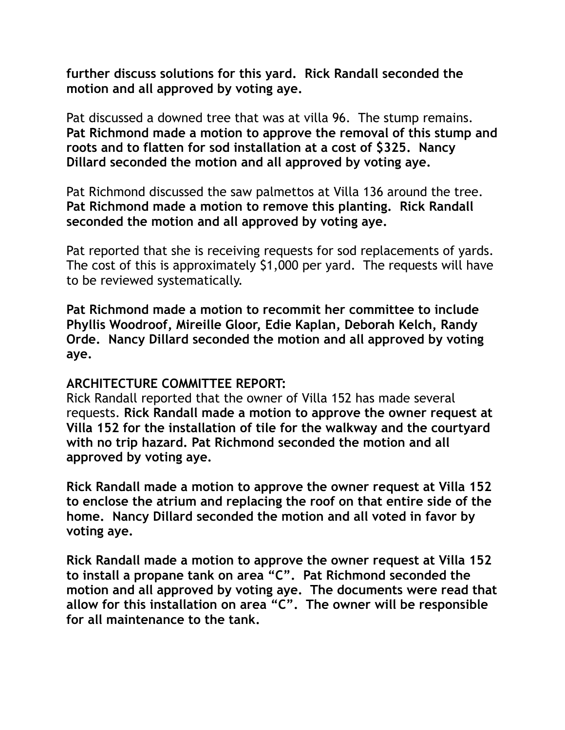**further discuss solutions for this yard. Rick Randall seconded the motion and all approved by voting aye.** 

Pat discussed a downed tree that was at villa 96. The stump remains. **Pat Richmond made a motion to approve the removal of this stump and roots and to flatten for sod installation at a cost of \$325. Nancy Dillard seconded the motion and all approved by voting aye.** 

Pat Richmond discussed the saw palmettos at Villa 136 around the tree. **Pat Richmond made a motion to remove this planting. Rick Randall seconded the motion and all approved by voting aye.** 

Pat reported that she is receiving requests for sod replacements of yards. The cost of this is approximately \$1,000 per yard. The requests will have to be reviewed systematically.

**Pat Richmond made a motion to recommit her committee to include Phyllis Woodroof, Mireille Gloor, Edie Kaplan, Deborah Kelch, Randy Orde. Nancy Dillard seconded the motion and all approved by voting aye.** 

#### **ARCHITECTURE COMMITTEE REPORT:**

Rick Randall reported that the owner of Villa 152 has made several requests. **Rick Randall made a motion to approve the owner request at Villa 152 for the installation of tile for the walkway and the courtyard with no trip hazard. Pat Richmond seconded the motion and all approved by voting aye.** 

**Rick Randall made a motion to approve the owner request at Villa 152 to enclose the atrium and replacing the roof on that entire side of the home. Nancy Dillard seconded the motion and all voted in favor by voting aye.** 

**Rick Randall made a motion to approve the owner request at Villa 152 to install a propane tank on area "C". Pat Richmond seconded the motion and all approved by voting aye. The documents were read that allow for this installation on area "C". The owner will be responsible for all maintenance to the tank.**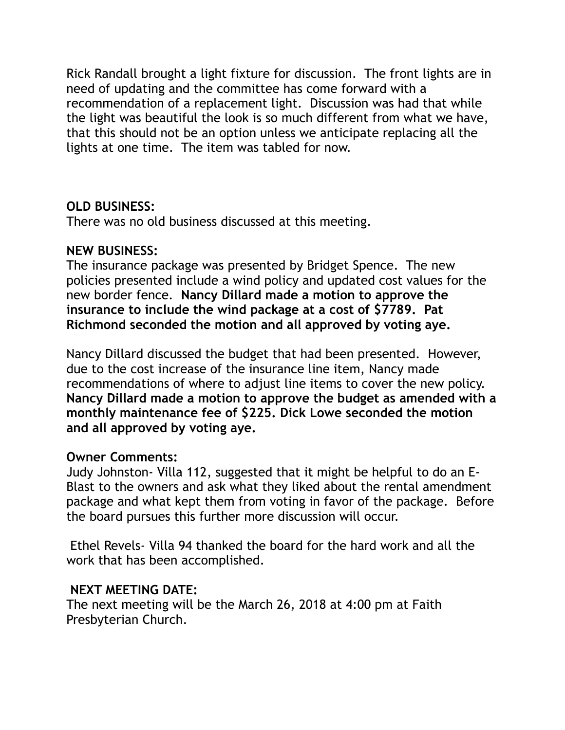Rick Randall brought a light fixture for discussion. The front lights are in need of updating and the committee has come forward with a recommendation of a replacement light. Discussion was had that while the light was beautiful the look is so much different from what we have, that this should not be an option unless we anticipate replacing all the lights at one time. The item was tabled for now.

# **OLD BUSINESS:**

There was no old business discussed at this meeting.

# **NEW BUSINESS:**

The insurance package was presented by Bridget Spence. The new policies presented include a wind policy and updated cost values for the new border fence. **Nancy Dillard made a motion to approve the insurance to include the wind package at a cost of \$7789. Pat Richmond seconded the motion and all approved by voting aye.** 

Nancy Dillard discussed the budget that had been presented. However, due to the cost increase of the insurance line item, Nancy made recommendations of where to adjust line items to cover the new policy. **Nancy Dillard made a motion to approve the budget as amended with a monthly maintenance fee of \$225. Dick Lowe seconded the motion and all approved by voting aye.** 

### **Owner Comments:**

Judy Johnston- Villa 112, suggested that it might be helpful to do an E-Blast to the owners and ask what they liked about the rental amendment package and what kept them from voting in favor of the package. Before the board pursues this further more discussion will occur.

 Ethel Revels- Villa 94 thanked the board for the hard work and all the work that has been accomplished.

### **NEXT MEETING DATE:**

The next meeting will be the March 26, 2018 at 4:00 pm at Faith Presbyterian Church.